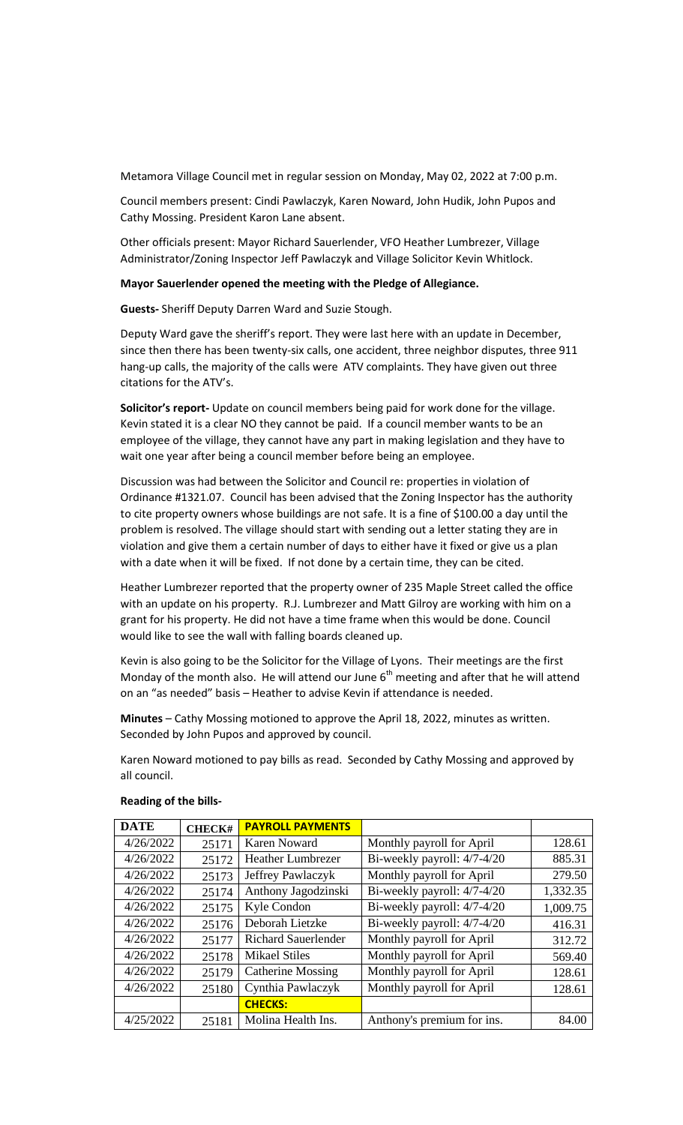Metamora Village Council met in regular session on Monday, May 02, 2022 at 7:00 p.m.

Council members present: Cindi Pawlaczyk, Karen Noward, John Hudik, John Pupos and Cathy Mossing. President Karon Lane absent.

Other officials present: Mayor Richard Sauerlender, VFO Heather Lumbrezer, Village Administrator/Zoning Inspector Jeff Pawlaczyk and Village Solicitor Kevin Whitlock.

## **Mayor Sauerlender opened the meeting with the Pledge of Allegiance.**

**Guests-** Sheriff Deputy Darren Ward and Suzie Stough.

Deputy Ward gave the sheriff's report. They were last here with an update in December, since then there has been twenty-six calls, one accident, three neighbor disputes, three 911 hang-up calls, the majority of the calls were ATV complaints. They have given out three citations for the ATV's.

**Solicitor's report-** Update on council members being paid for work done for the village. Kevin stated it is a clear NO they cannot be paid. If a council member wants to be an employee of the village, they cannot have any part in making legislation and they have to wait one year after being a council member before being an employee.

Discussion was had between the Solicitor and Council re: properties in violation of Ordinance #1321.07. Council has been advised that the Zoning Inspector has the authority to cite property owners whose buildings are not safe. It is a fine of \$100.00 a day until the problem is resolved. The village should start with sending out a letter stating they are in violation and give them a certain number of days to either have it fixed or give us a plan with a date when it will be fixed. If not done by a certain time, they can be cited.

Heather Lumbrezer reported that the property owner of 235 Maple Street called the office with an update on his property. R.J. Lumbrezer and Matt Gilroy are working with him on a grant for his property. He did not have a time frame when this would be done. Council would like to see the wall with falling boards cleaned up.

Kevin is also going to be the Solicitor for the Village of Lyons. Their meetings are the first Monday of the month also. He will attend our June  $6<sup>th</sup>$  meeting and after that he will attend on an "as needed" basis – Heather to advise Kevin if attendance is needed.

**Minutes** – Cathy Mossing motioned to approve the April 18, 2022, minutes as written. Seconded by John Pupos and approved by council.

Karen Noward motioned to pay bills as read. Seconded by Cathy Mossing and approved by all council.

| <b>DATE</b> | <b>CHECK#</b> | <b>PAYROLL PAYMENTS</b>    |                             |          |
|-------------|---------------|----------------------------|-----------------------------|----------|
| 4/26/2022   | 25171         | <b>Karen Noward</b>        | Monthly payroll for April   | 128.61   |
| 4/26/2022   | 25172         | <b>Heather Lumbrezer</b>   | Bi-weekly payroll: 4/7-4/20 | 885.31   |
| 4/26/2022   | 25173         | Jeffrey Pawlaczyk          | Monthly payroll for April   | 279.50   |
| 4/26/2022   | 25174         | Anthony Jagodzinski        | Bi-weekly payroll: 4/7-4/20 | 1,332.35 |
| 4/26/2022   | 25175         | Kyle Condon                | Bi-weekly payroll: 4/7-4/20 | 1,009.75 |
| 4/26/2022   | 25176         | Deborah Lietzke            | Bi-weekly payroll: 4/7-4/20 | 416.31   |
| 4/26/2022   | 25177         | <b>Richard Sauerlender</b> | Monthly payroll for April   | 312.72   |
| 4/26/2022   | 25178         | <b>Mikael Stiles</b>       | Monthly payroll for April   | 569.40   |
| 4/26/2022   | 25179         | <b>Catherine Mossing</b>   | Monthly payroll for April   | 128.61   |
| 4/26/2022   | 25180         | Cynthia Pawlaczyk          | Monthly payroll for April   | 128.61   |
|             |               | <b>CHECKS:</b>             |                             |          |
| 4/25/2022   | 25181         | Molina Health Ins.         | Anthony's premium for ins.  | 84.00    |

## **Reading of the bills-**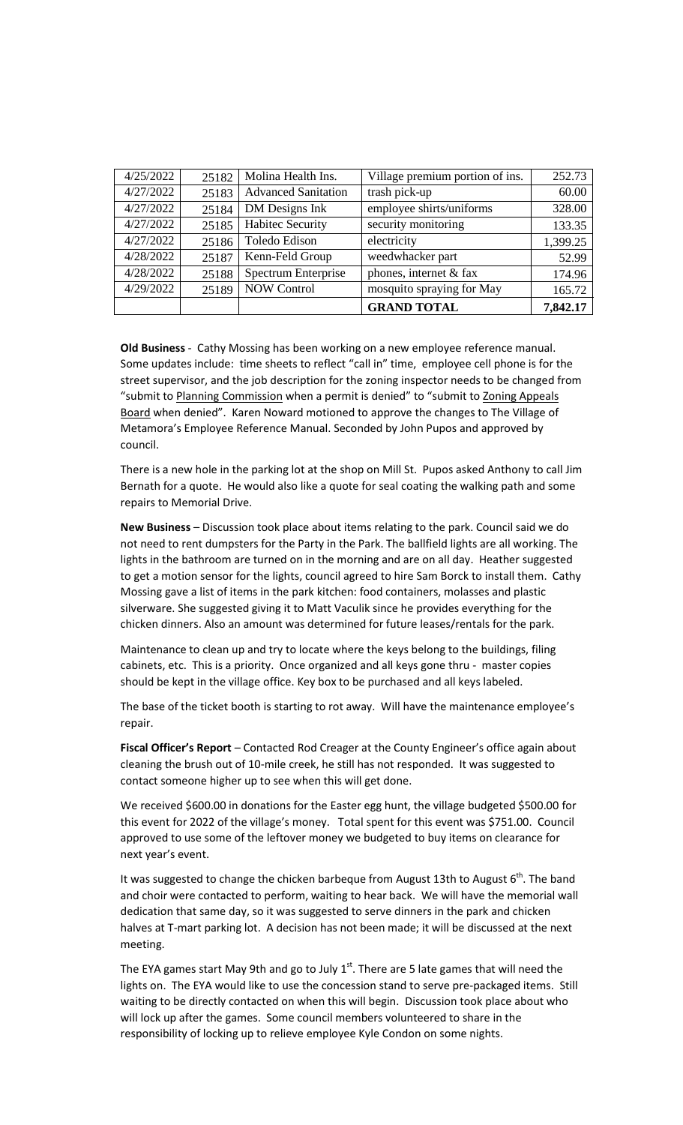| 4/25/2022 | 25182 | Molina Health Ins.         | Village premium portion of ins. | 252.73   |
|-----------|-------|----------------------------|---------------------------------|----------|
| 4/27/2022 | 25183 | <b>Advanced Sanitation</b> | trash pick-up                   | 60.00    |
| 4/27/2022 | 25184 | DM Designs Ink             | employee shirts/uniforms        | 328.00   |
| 4/27/2022 | 25185 | <b>Habitec Security</b>    | security monitoring             | 133.35   |
| 4/27/2022 | 25186 | Toledo Edison              | electricity                     | 1,399.25 |
| 4/28/2022 | 25187 | Kenn-Feld Group            | weedwhacker part                | 52.99    |
| 4/28/2022 | 25188 | Spectrum Enterprise        | phones, internet & fax          | 174.96   |
| 4/29/2022 | 25189 | <b>NOW Control</b>         | mosquito spraying for May       | 165.72   |
|           |       |                            | <b>GRAND TOTAL</b>              | 7,842.17 |

**Old Business** - Cathy Mossing has been working on a new employee reference manual. Some updates include: time sheets to reflect "call in" time, employee cell phone is for the street supervisor, and the job description for the zoning inspector needs to be changed from "submit to Planning Commission when a permit is denied" to "submit to Zoning Appeals Board when denied". Karen Noward motioned to approve the changes to The Village of Metamora's Employee Reference Manual. Seconded by John Pupos and approved by council.

There is a new hole in the parking lot at the shop on Mill St. Pupos asked Anthony to call Jim Bernath for a quote. He would also like a quote for seal coating the walking path and some repairs to Memorial Drive.

**New Business** – Discussion took place about items relating to the park. Council said we do not need to rent dumpsters for the Party in the Park. The ballfield lights are all working. The lights in the bathroom are turned on in the morning and are on all day. Heather suggested to get a motion sensor for the lights, council agreed to hire Sam Borck to install them. Cathy Mossing gave a list of items in the park kitchen: food containers, molasses and plastic silverware. She suggested giving it to Matt Vaculik since he provides everything for the chicken dinners. Also an amount was determined for future leases/rentals for the park.

Maintenance to clean up and try to locate where the keys belong to the buildings, filing cabinets, etc. This is a priority. Once organized and all keys gone thru - master copies should be kept in the village office. Key box to be purchased and all keys labeled.

The base of the ticket booth is starting to rot away. Will have the maintenance employee's repair.

**Fiscal Officer's Report** – Contacted Rod Creager at the County Engineer's office again about cleaning the brush out of 10-mile creek, he still has not responded. It was suggested to contact someone higher up to see when this will get done.

We received \$600.00 in donations for the Easter egg hunt, the village budgeted \$500.00 for this event for 2022 of the village's money. Total spent for this event was \$751.00. Council approved to use some of the leftover money we budgeted to buy items on clearance for next year's event.

It was suggested to change the chicken barbeque from August 13th to August  $6^{th}$ . The band and choir were contacted to perform, waiting to hear back. We will have the memorial wall dedication that same day, so it was suggested to serve dinners in the park and chicken halves at T-mart parking lot. A decision has not been made; it will be discussed at the next meeting.

The EYA games start May 9th and go to July  $1<sup>st</sup>$ . There are 5 late games that will need the lights on. The EYA would like to use the concession stand to serve pre-packaged items. Still waiting to be directly contacted on when this will begin. Discussion took place about who will lock up after the games. Some council members volunteered to share in the responsibility of locking up to relieve employee Kyle Condon on some nights.